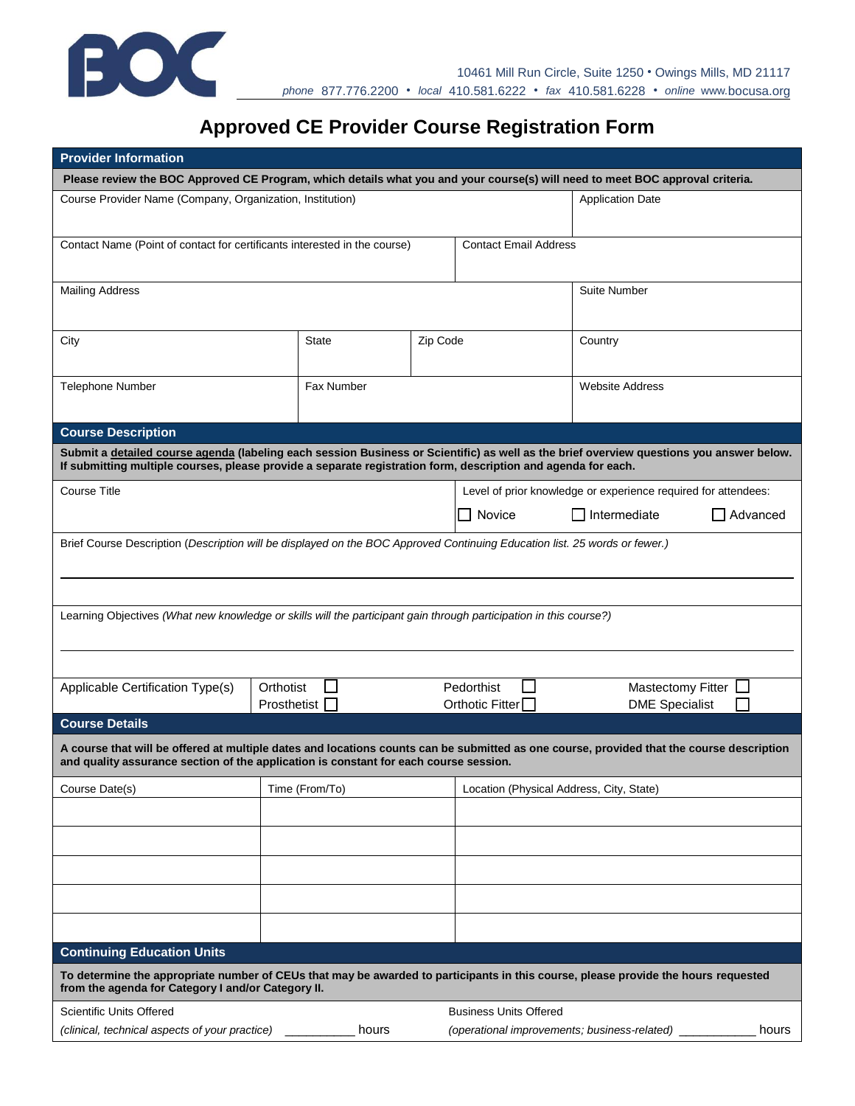

## **Approved CE Provider Course Registration Form**

| <b>Provider Information</b>                                                                                                                                                                                                                               |                              |          |                                          |                                                                |            |  |  |
|-----------------------------------------------------------------------------------------------------------------------------------------------------------------------------------------------------------------------------------------------------------|------------------------------|----------|------------------------------------------|----------------------------------------------------------------|------------|--|--|
| Please review the BOC Approved CE Program, which details what you and your course(s) will need to meet BOC approval criteria.                                                                                                                             |                              |          |                                          |                                                                |            |  |  |
| Course Provider Name (Company, Organization, Institution)<br><b>Application Date</b>                                                                                                                                                                      |                              |          |                                          |                                                                |            |  |  |
| Contact Name (Point of contact for certificants interested in the course)                                                                                                                                                                                 | <b>Contact Email Address</b> |          |                                          |                                                                |            |  |  |
| <b>Mailing Address</b>                                                                                                                                                                                                                                    |                              |          |                                          | Suite Number                                                   |            |  |  |
| City                                                                                                                                                                                                                                                      | State                        | Zip Code |                                          | Country                                                        |            |  |  |
| Telephone Number                                                                                                                                                                                                                                          | Fax Number                   |          |                                          | <b>Website Address</b>                                         |            |  |  |
| <b>Course Description</b>                                                                                                                                                                                                                                 |                              |          |                                          |                                                                |            |  |  |
| Submit a detailed course agenda (labeling each session Business or Scientific) as well as the brief overview questions you answer below.<br>If submitting multiple courses, please provide a separate registration form, description and agenda for each. |                              |          |                                          |                                                                |            |  |  |
| <b>Course Title</b>                                                                                                                                                                                                                                       |                              |          |                                          | Level of prior knowledge or experience required for attendees: |            |  |  |
|                                                                                                                                                                                                                                                           |                              |          | □ Novice                                 | $\Box$ Intermediate                                            | □ Advanced |  |  |
| Brief Course Description (Description will be displayed on the BOC Approved Continuing Education list. 25 words or fewer.)                                                                                                                                |                              |          |                                          |                                                                |            |  |  |
| Learning Objectives (What new knowledge or skills will the participant gain through participation in this course?)                                                                                                                                        |                              |          |                                          |                                                                |            |  |  |
|                                                                                                                                                                                                                                                           |                              |          |                                          |                                                                |            |  |  |
| Applicable Certification Type(s)                                                                                                                                                                                                                          | Orthotist<br>Prosthetist     |          | Pedorthist<br>Orthotic Fitter            | <b>Mastectomy Fitter</b><br><b>DME Specialist</b>              |            |  |  |
| <b>Course Details</b>                                                                                                                                                                                                                                     |                              |          |                                          |                                                                |            |  |  |
| A course that will be offered at multiple dates and locations counts can be submitted as one course, provided that the course description<br>and quality assurance section of the application is constant for each course session.                        |                              |          |                                          |                                                                |            |  |  |
| Course Date(s)                                                                                                                                                                                                                                            | Time (From/To)               |          | Location (Physical Address, City, State) |                                                                |            |  |  |
|                                                                                                                                                                                                                                                           |                              |          |                                          |                                                                |            |  |  |
|                                                                                                                                                                                                                                                           |                              |          |                                          |                                                                |            |  |  |
|                                                                                                                                                                                                                                                           |                              |          |                                          |                                                                |            |  |  |
|                                                                                                                                                                                                                                                           |                              |          |                                          |                                                                |            |  |  |
|                                                                                                                                                                                                                                                           |                              |          |                                          |                                                                |            |  |  |
| <b>Continuing Education Units</b>                                                                                                                                                                                                                         |                              |          |                                          |                                                                |            |  |  |
| To determine the appropriate number of CEUs that may be awarded to participants in this course, please provide the hours requested<br>from the agenda for Category I and/or Category II.                                                                  |                              |          |                                          |                                                                |            |  |  |
| <b>Scientific Units Offered</b>                                                                                                                                                                                                                           |                              |          | <b>Business Units Offered</b>            |                                                                |            |  |  |
| (clinical, technical aspects of your practice)                                                                                                                                                                                                            | hours                        |          |                                          | (operational improvements; business-related) _                 | hours      |  |  |